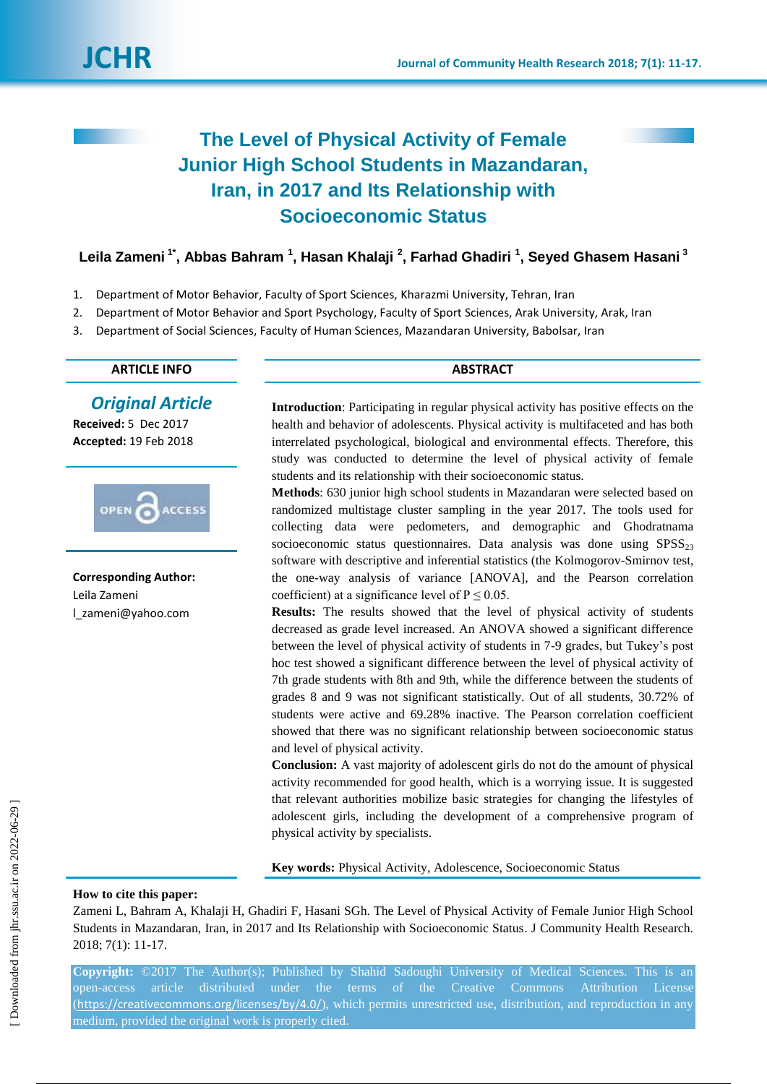

# **The Level of Physical Activity of Female Junior High School Students in Mazandaran, Iran, in 2017 and Its Relationship with Socioeconomic Status**

**Leila Zameni 1\* , Abbas Bahram <sup>1</sup> , Hasan Khalaji <sup>2</sup> , Farhad Ghadiri <sup>1</sup> , Seyed Ghasem Hasani <sup>3</sup>**

- 1. Department of Motor Behavior, Faculty of Sport Sciences, Kharazmi University, Tehran, Iran
- 2. Department of Motor Behavior and Sport Psychology, Faculty of Sport Sciences, Arak University, Arak, Iran
- 3. Department of Social Sciences, Faculty of Human Sciences, Mazandaran University, Babolsar, Iran

# **ARTICLE INFO ABSTRACT**

# *Original Article*

**Received:** 5 Dec 2017 **Accepted:** 19 Feb 2018



**Corresponding Author:** Leila Zameni l\_zameni@yahoo.com

**Introduction**: Participating in regular physical activity has positive effects on the health and behavior of adolescents. Physical activity is multifaceted and has both interrelated psychological, biological and environmental effects. Therefore, this study was conducted to determine the level of physical activity of female students and its relationship with their socioeconomic status.

**Methods**: 630 junior high school students in Mazandaran were selected based on randomized multistage cluster sampling in the year 2017. The tools used for collecting data were pedometers, and demographic and Ghodratnama socioeconomic status questionnaires. Data analysis was done using  $SPSS<sub>23</sub>$ software with descriptive and inferential statistics (the Kolmogorov-Smirnov test, the one-way analysis of variance [ANOVA], and the Pearson correlation coefficient) at a significance level of  $P \le 0.05$ .

**Results:** The results showed that the level of physical activity of students decreased as grade level increased. An ANOVA showed a significant difference between the level of physical activity of students in 7-9 grades, but Tukey's post hoc test showed a significant difference between the level of physical activity of 7th grade students with 8th and 9th, while the difference between the students of grades 8 and 9 was not significant statistically. Out of all students, 30.72% of students were active and 69.28% inactive. The Pearson correlation coefficient showed that there was no significant relationship between socioeconomic status and level of physical activity.

**Conclusion:** A vast majority of adolescent girls do not do the amount of physical activity recommended for good health, which is a worrying issue. It is suggested that relevant authorities mobilize basic strategies for changing the lifestyles of adolescent girls, including the development of a comprehensive program of physical activity by specialists.

**Key words:** Physical Activity, Adolescence, Socioeconomic Status

# **How to cite this paper:**

Zameni L, Bahram A, Khalaji H, Ghadiri F, Hasani SGh. The Level of Physical Activity of Female Junior High School Students in Mazandaran, Iran, in 2017 and Its Relationship with Socioeconomic Status. J Community Health Research. 2018; 7(1): 11-17.

**Copyright:** ©2017 The Author(s); Published by Shahid Sadoughi University of Medical Sciences. This is an open-access article distributed under the terms of the Creative Commons Attribution License (<https://creativecommons.org/licenses/by/4.0/>), which permits unrestricted use, distribution, and reproduction in any medium, provided the original work is properly cited.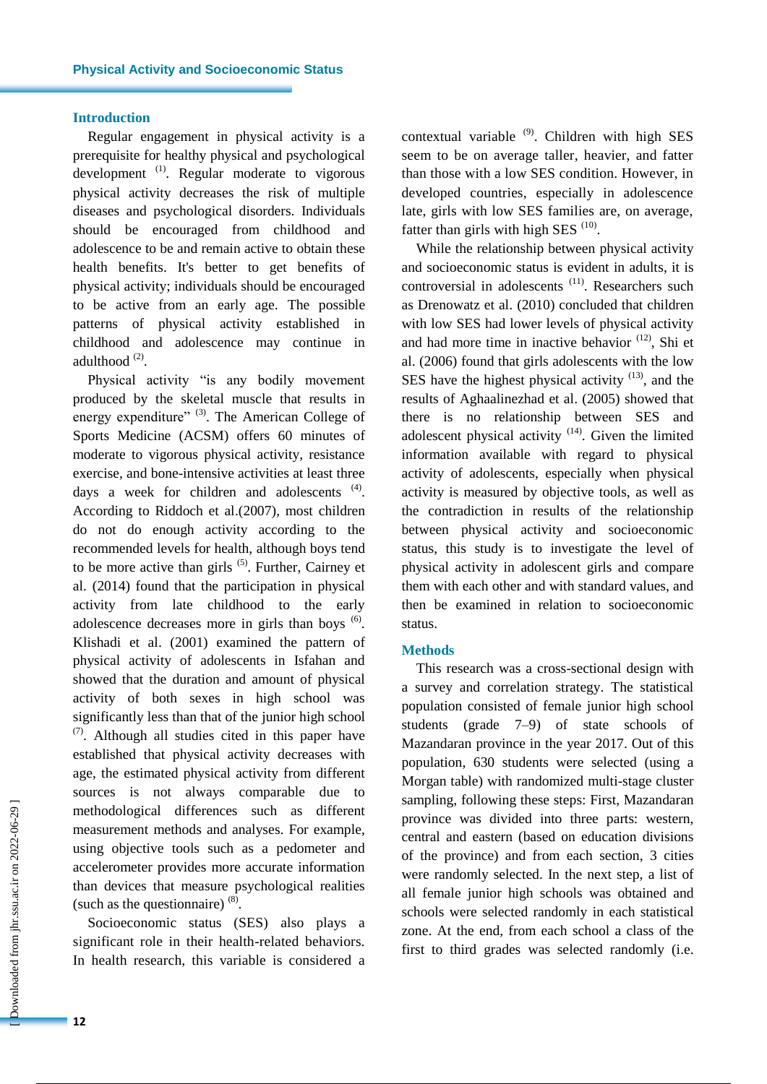## **Introduction**

Regular engagement in physical activity is a prerequisite for healthy physical and psychological development<sup>(1)</sup>. Regular moderate to vigorous physical activity decreases the risk of multiple diseases and psychological disorders. Individuals should be encouraged from childhood and adolescence to be and remain active to obtain these health benefits. It's better to get benefits of physical activity; individuals should be encouraged to be active from an early age. The possible patterns of physical activity established in childhood and adolescence may continue in adulthood<sup>(2)</sup>.

Physical activity "is any bodily movement produced by the skeletal muscle that results in energy expenditure" <sup>(3)</sup>. The American College of Sports Medicine (ACSM) offers 60 minutes of moderate to vigorous physical activity, resistance exercise, and bone-intensive activities at least three days a week for children and adolescents  $(4)$ . According to Riddoch et al.(2007), most children do not do enough activity according to the recommended levels for health, although boys tend to be more active than girls  $(5)$ . Further, Cairney et al. (2014) found that the participation in physical activity from late childhood to the early adolescence decreases more in girls than boys  $<sup>(6)</sup>$ .</sup> Klishadi et al. (2001) examined the pattern of physical activity of adolescents in Isfahan and showed that the duration and amount of physical activity of both sexes in high school was significantly less than that of the junior high school  $(7)$ . Although all studies cited in this paper have established that physical activity decreases with age, the estimated physical activity from different sources is not always comparable due to methodological differences such as different measurement methods and analyses. For example, using objective tools such as a pedometer and accelerometer provides more accurate information than devices that measure psychological realities (such as the questionnaire)  $(8)$ .

Socioeconomic status (SES) also plays a significant role in their health-related behaviors. In health research, this variable is considered a contextual variable  $(9)$ . Children with high SES seem to be on average taller, heavier, and fatter than those with a low SES condition. However, in developed countries, especially in adolescence late, girls with low SES families are, on average, fatter than girls with high SES  $(10)$ .

While the relationship between physical activity and socioeconomic status is evident in adults, it is controversial in adolescents<sup>(11)</sup>. Researchers such as Drenowatz et al. (2010) concluded that children with low SES had lower levels of physical activity and had more time in inactive behavior (12), Shi et al. (2006) found that girls adolescents with the low SES have the highest physical activity  $(13)$ , and the results of Aghaalinezhad et al. (2005) showed that there is no relationship between SES and adolescent physical activity  $(14)$ . Given the limited information available with regard to physical activity of adolescents, especially when physical activity is measured by objective tools, as well as the contradiction in results of the relationship between physical activity and socioeconomic status, this study is to investigate the level of physical activity in adolescent girls and compare them with each other and with standard values, and then be examined in relation to socioeconomic status.

#### **Methods**

This research was a cross-sectional design with a survey and correlation strategy. The statistical population consisted of female junior high school students (grade 7–9) of state schools of Mazandaran province in the year 2017. Out of this population, 630 students were selected (using a Morgan table) with randomized multi-stage cluster sampling, following these steps: First, Mazandaran province was divided into three parts: western, central and eastern (based on education divisions of the province) and from each section, 3 cities were randomly selected. In the next step, a list of all female junior high schools was obtained and schools were selected randomly in each statistical zone. At the end, from each school a class of the first to third grades was selected randomly (i.e.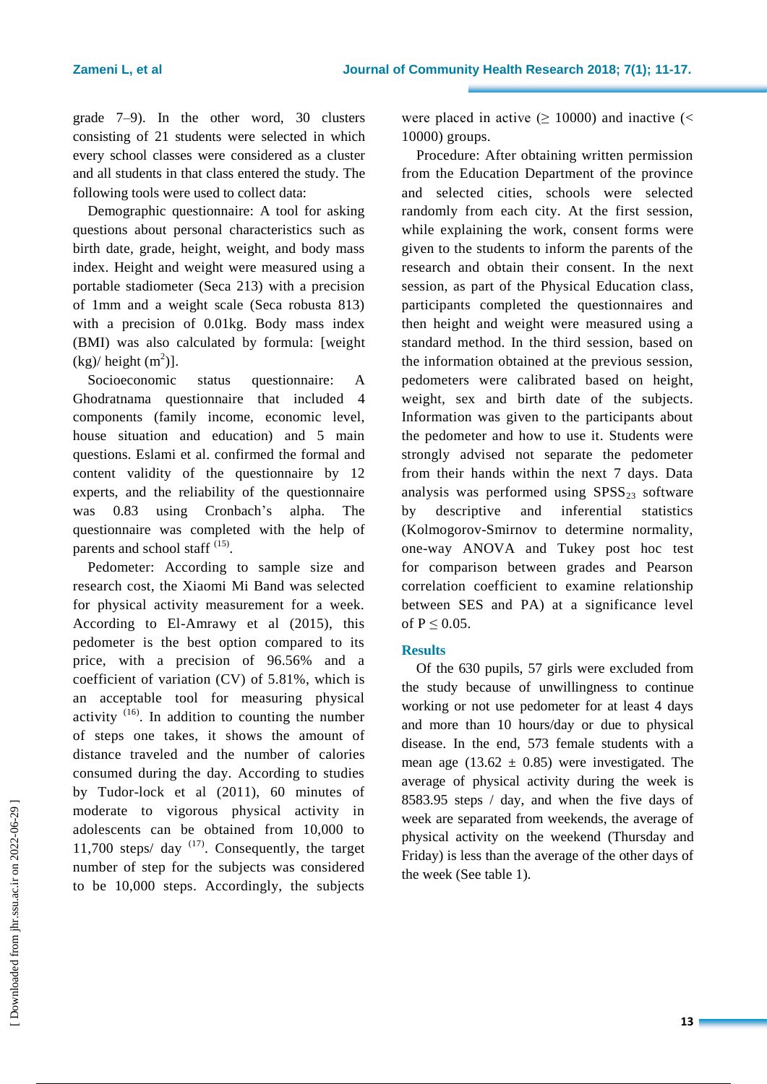grade 7–9). In the other word, 30 clusters consisting of 21 students were selected in which every school classes were considered as a cluster and all students in that class entered the study. The following tools were used to collect data:

Demographic questionnaire: A tool for asking questions about personal characteristics such as birth date, grade, height, weight, and body mass index. Height and weight were measured using a portable stadiometer (Seca 213) with a precision of 1mm and a weight scale (Seca robusta 813) with a precision of 0.01kg. Body mass index (BMI) was also calculated by formula: [weight  $(kg)/$  height  $(m^2)$ ].

Socioeconomic status questionnaire: A Ghodratnama questionnaire that included 4 components (family income, economic level, house situation and education) and 5 main questions. Eslami et al. confirmed the formal and content validity of the questionnaire by 12 experts, and the reliability of the questionnaire was 0.83 using Cronbach's alpha. The questionnaire was completed with the help of parents and school staff <sup>(15)</sup>.

Pedometer: According to sample size and research cost, the Xiaomi Mi Band was selected for physical activity measurement for a week. According to El-Amrawy et al (2015), this pedometer is the best option compared to its price, with a precision of 96.56% and a coefficient of variation (CV) of 5.81%, which is an acceptable tool for measuring physical activity  $(16)$ . In addition to counting the number of steps one takes, it shows the amount of distance traveled and the number of calories consumed during the day. According to studies by Tudor-lock et al (2011), 60 minutes of moderate to vigorous physical activity in adolescents can be obtained from 10,000 to 11,700 steps/ $day$ <sup>(17)</sup>. Consequently, the target number of step for the subjects was considered to be 10,000 steps. Accordingly, the subjects

were placed in active  $( \ge 10000)$  and inactive  $($ 10000) groups.

Procedure: After obtaining written permission from the Education Department of the province and selected cities, schools were selected randomly from each city. At the first session, while explaining the work, consent forms were given to the students to inform the parents of the research and obtain their consent. In the next session, as part of the Physical Education class, participants completed the questionnaires and then height and weight were measured using a standard method. In the third session, based on the information obtained at the previous session, pedometers were calibrated based on height, weight, sex and birth date of the subjects. Information was given to the participants about the pedometer and how to use it. Students were strongly advised not separate the pedometer from their hands within the next 7 days. Data analysis was performed using  $SPSS_{23}$  software by descriptive and inferential statistics (Kolmogorov-Smirnov to determine normality, one-way ANOVA and Tukey post hoc test for comparison between grades and Pearson correlation coefficient to examine relationship between SES and PA) at a significance level of  $P \leq 0.05$ .

# **Results**

Of the 630 pupils, 57 girls were excluded from the study because of unwillingness to continue working or not use pedometer for at least 4 days and more than 10 hours/day or due to physical disease. In the end, 573 female students with a mean age  $(13.62 \pm 0.85)$  were investigated. The average of physical activity during the week is 8583.95 steps / day, and when the five days of week are separated from weekends, the average of physical activity on the weekend (Thursday and Friday) is less than the average of the other days of the week (See table 1).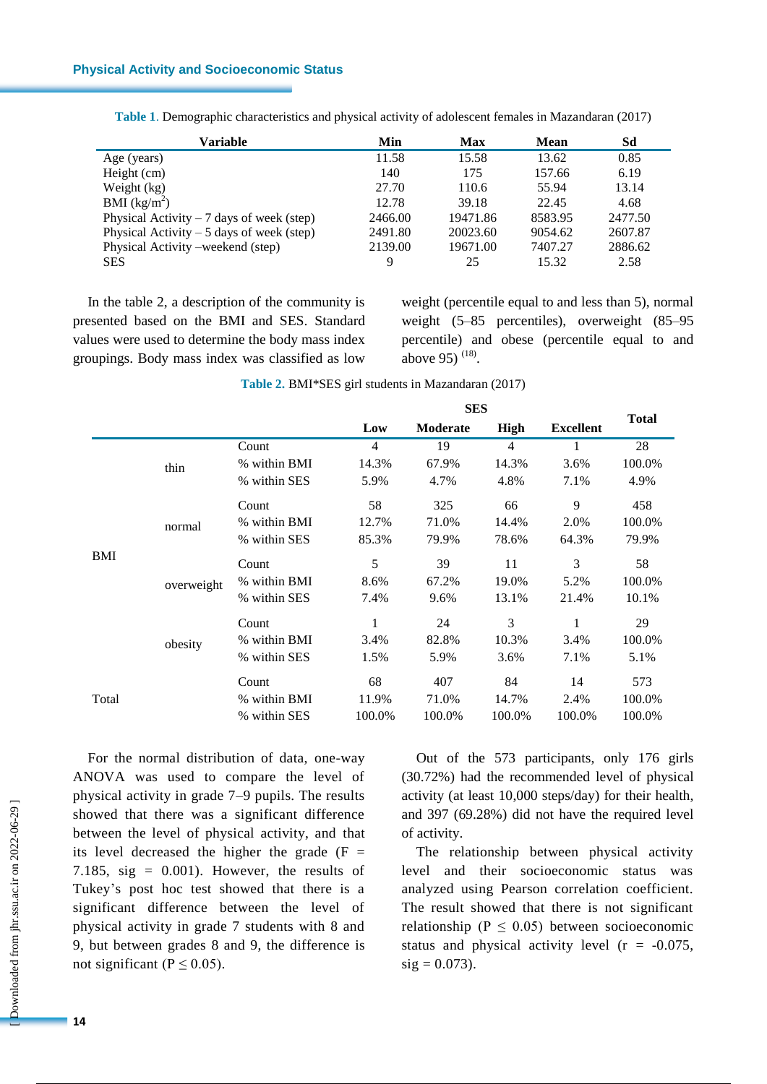| Variable                                   | Min     | <b>Max</b> | <b>Mean</b> | Sd      |
|--------------------------------------------|---------|------------|-------------|---------|
| Age (years)                                | 11.58   | 15.58      | 13.62       | 0.85    |
| Height (cm)                                | 140     | 175        | 157.66      | 6.19    |
| Weight (kg)                                | 27.70   | 110.6      | 55.94       | 13.14   |
| BMI (kg/m <sup>2</sup> )                   | 12.78   | 39.18      | 22.45       | 4.68    |
| Physical Activity $-7$ days of week (step) | 2466.00 | 19471.86   | 8583.95     | 2477.50 |
| Physical Activity $-5$ days of week (step) | 2491.80 | 20023.60   | 9054.62     | 2607.87 |
| Physical Activity – weekend (step)         | 2139.00 | 19671.00   | 7407.27     | 2886.62 |
| <b>SES</b>                                 | 9       | 25         | 15.32       | 2.58    |

**Table 1**. Demographic characteristics and physical activity of adolescent females in Mazandaran (2017)

In the table 2, a description of the community is presented based on the BMI and SES. Standard values were used to determine the body mass index groupings. Body mass index was classified as low weight (percentile equal to and less than 5), normal weight (5–85 percentiles), overweight (85–95 percentile) and obese (percentile equal to and above 95)  $(18)$ .

|                                                       |       |              |        | <b>SES</b>     |             |                  |              |
|-------------------------------------------------------|-------|--------------|--------|----------------|-------------|------------------|--------------|
|                                                       |       |              | Low    | Moderate       | <b>High</b> | <b>Excellent</b> | <b>Total</b> |
| thin<br>normal<br><b>BMI</b><br>overweight<br>obesity | Count | 4            | 19     | $\overline{4}$ | 1           | 28               |              |
|                                                       |       | % within BMI | 14.3%  | 67.9%          | 14.3%       | 3.6%             | 100.0%       |
|                                                       |       | % within SES | 5.9%   | 4.7%           | 4.8%        | 7.1%             | 4.9%         |
|                                                       |       | Count        | 58     | 325            | 66          | 9                | 458          |
|                                                       |       | % within BMI | 12.7%  | 71.0%          | 14.4%       | 2.0%             | 100.0%       |
|                                                       |       | % within SES | 85.3%  | 79.9%          | 78.6%       | 64.3%            | 79.9%        |
|                                                       |       | Count        | 5      | 39             | 11          | 3                | 58           |
|                                                       |       | % within BMI | 8.6%   | 67.2%          | 19.0%       | 5.2%             | 100.0%       |
|                                                       |       | % within SES | 7.4%   | 9.6%           | 13.1%       | 21.4%            | 10.1%        |
|                                                       |       | Count        | 1      | 24             | 3           | 1                | 29           |
|                                                       |       | % within BMI | 3.4%   | 82.8%          | 10.3%       | 3.4%             | 100.0%       |
|                                                       |       | % within SES | 1.5%   | 5.9%           | 3.6%        | 7.1%             | 5.1%         |
| Total                                                 |       | Count        | 68     | 407            | 84          | 14               | 573          |
|                                                       |       | % within BMI | 11.9%  | 71.0%          | 14.7%       | 2.4%             | 100.0%       |
|                                                       |       | % within SES | 100.0% | 100.0%         | 100.0%      | 100.0%           | 100.0%       |

**Table 2.** BMI\*SES girl students in Mazandaran (2017)

For the normal distribution of data, one-way ANOVA was used to compare the level of physical activity in grade 7–9 pupils. The results showed that there was a significant difference between the level of physical activity, and that its level decreased the higher the grade  $(F =$ 7.185, sig =  $0.001$ ). However, the results of Tukey's post hoc test showed that there is a significant difference between the level of physical activity in grade 7 students with 8 and 9, but between grades 8 and 9, the difference is not significant ( $P \le 0.05$ ).

Out of the 573 participants, only 176 girls (30.72%) had the recommended level of physical activity (at least 10,000 steps/day) for their health, and 397 (69.28%) did not have the required level of activity.

The relationship between physical activity level and their socioeconomic status was analyzed using Pearson correlation coefficient. The result showed that there is not significant relationship ( $P \leq 0.05$ ) between socioeconomic status and physical activity level  $(r = -0.075)$ ,  $sig = 0.073$ ).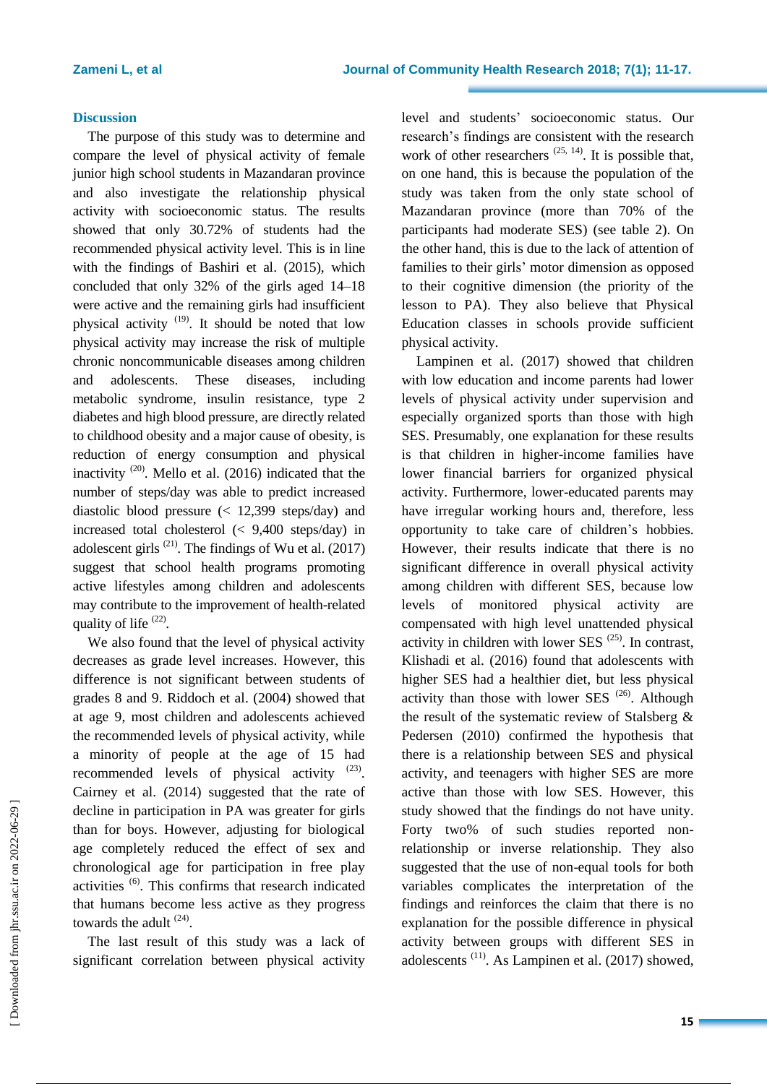### **Discussion**

The purpose of this study was to determine and compare the level of physical activity of female junior high school students in Mazandaran province and also investigate the relationship physical activity with socioeconomic status. The results showed that only 30.72% of students had the recommended physical activity level. This is in line with the findings of Bashiri et al. (2015), which concluded that only 32% of the girls aged 14–18 were active and the remaining girls had insufficient physical activity <sup>(19)</sup>. It should be noted that low physical activity may increase the risk of multiple chronic noncommunicable diseases among children and adolescents. These diseases, including metabolic syndrome, insulin resistance, type 2 diabetes and high blood pressure, are directly related to childhood obesity and a major cause of obesity, is reduction of energy consumption and physical inactivity  $(20)$ . Mello et al. (2016) indicated that the number of steps/day was able to predict increased diastolic blood pressure (< 12,399 steps/day) and increased total cholesterol (< 9,400 steps/day) in adolescent girls  $(21)$ . The findings of Wu et al.  $(2017)$ suggest that school health programs promoting active lifestyles among children and adolescents may contribute to the improvement of health-related quality of life <sup>(22)</sup>.

We also found that the level of physical activity decreases as grade level increases. However, this difference is not significant between students of grades 8 and 9. Riddoch et al. (2004) showed that at age 9, most children and adolescents achieved the recommended levels of physical activity, while a minority of people at the age of 15 had recommended levels of physical activity  $(23)$ . Cairney et al. (2014) suggested that the rate of decline in participation in PA was greater for girls than for boys. However, adjusting for biological age completely reduced the effect of sex and chronological age for participation in free play activities (6). This confirms that research indicated that humans become less active as they progress towards the adult  $(24)$ .

The last result of this study was a lack of significant correlation between physical activity level and students' socioeconomic status. Our research's findings are consistent with the research work of other researchers  $(25, 14)$ . It is possible that, on one hand, this is because the population of the study was taken from the only state school of Mazandaran province (more than 70% of the participants had moderate SES) (see table 2). On the other hand, this is due to the lack of attention of families to their girls' motor dimension as opposed to their cognitive dimension (the priority of the lesson to PA). They also believe that Physical Education classes in schools provide sufficient physical activity.

Lampinen et al. (2017) showed that children with low education and income parents had lower levels of physical activity under supervision and especially organized sports than those with high SES. Presumably, one explanation for these results is that children in higher-income families have lower financial barriers for organized physical activity. Furthermore, lower-educated parents may have irregular working hours and, therefore, less opportunity to take care of children's hobbies. However, their results indicate that there is no significant difference in overall physical activity among children with different SES, because low levels of monitored physical activity are compensated with high level unattended physical activity in children with lower SES  $(25)$ . In contrast, Klishadi et al. (2016) found that adolescents with higher SES had a healthier diet, but less physical activity than those with lower SES  $(26)$ . Although the result of the systematic review of Stalsberg & Pedersen (2010) confirmed the hypothesis that there is a relationship between SES and physical activity, and teenagers with higher SES are more active than those with low SES. However, this study showed that the findings do not have unity. Forty two% of such studies reported nonrelationship or inverse relationship. They also suggested that the use of non-equal tools for both variables complicates the interpretation of the findings and reinforces the claim that there is no explanation for the possible difference in physical activity between groups with different SES in adolescents (11). As Lampinen et al. (2017) showed,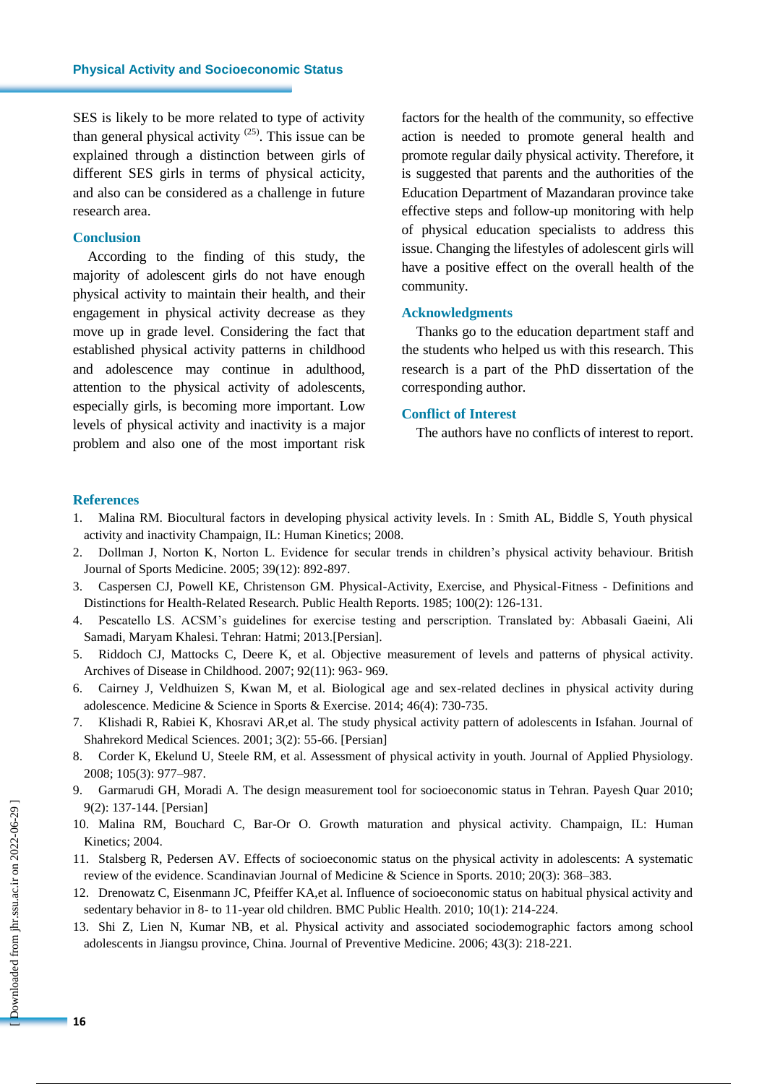SES is likely to be more related to type of activity than general physical activity  $(25)$ . This issue can be explained through a distinction between girls of different SES girls in terms of physical acticity, and also can be considered as a challenge in future research area.

## **Conclusion**

According to the finding of this study, the majority of adolescent girls do not have enough physical activity to maintain their health, and their engagement in physical activity decrease as they move up in grade level. Considering the fact that established physical activity patterns in childhood and adolescence may continue in adulthood, attention to the physical activity of adolescents, especially girls, is becoming more important. Low levels of physical activity and inactivity is a major problem and also one of the most important risk

factors for the health of the community, so effective action is needed to promote general health and promote regular daily physical activity. Therefore, it is suggested that parents and the authorities of the Education Department of Mazandaran province take effective steps and follow-up monitoring with help of physical education specialists to address this issue. Changing the lifestyles of adolescent girls will have a positive effect on the overall health of the community.

#### **Acknowledgments**

Thanks go to the education department staff and the students who helped us with this research. This research is a part of the PhD dissertation of the corresponding author.

# **Conflict of Interest**

The authors have no conflicts of interest to report.

### **References**

- 1. Malina RM. Biocultural factors in developing physical activity levels. In : Smith AL, Biddle S, Youth physical activity and inactivity Champaign, IL: Human Kinetics; 2008.
- 2. Dollman J, Norton K, Norton L. Evidence for secular trends in children's physical activity behaviour. British Journal of Sports Medicine. 2005; 39(12): 892-897.
- 3. Caspersen CJ, Powell KE, Christenson GM. Physical-Activity, Exercise, and Physical-Fitness Definitions and Distinctions for Health-Related Research. Public Health Reports. 1985; 100(2): 126-131.
- 4. Pescatello LS. ACSM's guidelines for exercise testing and perscription. Translated by: Abbasali Gaeini, Ali Samadi, Maryam Khalesi. Tehran: Hatmi; 2013.[Persian].
- 5. Riddoch CJ, Mattocks C, Deere K, et al. Objective measurement of levels and patterns of physical activity. Archives of Disease in Childhood. 2007; 92(11): 963- 969.
- 6. Cairney J, Veldhuizen S, Kwan M, et al. Biological age and sex-related declines in physical activity during adolescence. Medicine & Science in Sports & Exercise. 2014; 46(4): 730-735.
- 7. Klishadi R, Rabiei K, Khosravi AR,et al. The study physical activity pattern of adolescents in Isfahan. Journal of Shahrekord Medical Sciences. 2001; 3(2): 55-66. [Persian]
- 8. Corder K, Ekelund U, Steele RM, et al. Assessment of physical activity in youth. Journal of Applied Physiology. 2008; 105(3): 977–987.
- 9. Garmarudi GH, Moradi A. The design measurement tool for socioeconomic status in Tehran. Payesh Quar 2010; 9(2): 137-144. [Persian]
- 10. Malina RM, Bouchard C, Bar-Or O. Growth maturation and physical activity. Champaign, IL: Human Kinetics; 2004.
- 11. Stalsberg R, Pedersen AV. Effects of socioeconomic status on the physical activity in adolescents: A systematic review of the evidence. Scandinavian Journal of Medicine & Science in Sports. 2010; 20(3): 368–383.
- 12. Drenowatz C, Eisenmann JC, Pfeiffer KA,et al. Influence of socioeconomic status on habitual physical activity and sedentary behavior in 8- to 11-year old children. BMC Public Health. 2010; 10(1): 214-224.
- 13. Shi Z, Lien N, Kumar NB, et al. Physical activity and associated sociodemographic factors among school adolescents in Jiangsu province, China. Journal of Preventive Medicine. 2006; 43(3): 218-221*.*